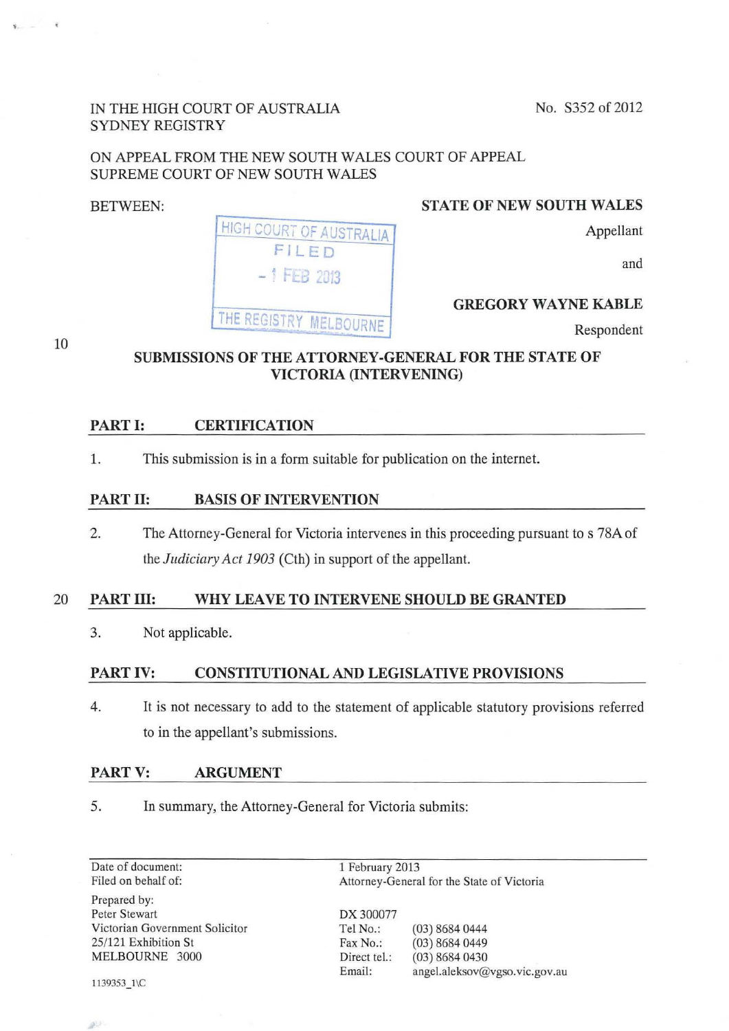No. S352 of 2012

### IN THE HIGH COURT OF AUSTRALIA SYDNEY REGISTRY

# ON APPEAL FROM THE NEW SOUTH WALES COURT OF APPEAL SUPREME COURT OF NEW SOUTH WALES

#### BETWEEN:

10

#### STATE OF NEW SOUTH WALES

**HIGH COURT OF AUSTRALIA** FILED  $-1$  **FEB 2013** THE REGISTRY MELBOURNE

## and

Appellant

## GREGORY WAYNE KABLE

Respondent

## SUBMISSIONS OF THE ATTORNEY -GENERAL FOR THE STATE OF VICTORIA (INTERVENING)

### PART I: CERTIFICATION

1. This submission is in a form suitable for publication on the internet.

#### PART II: BASIS OF INTERVENTION

2. The Attorney-General for Victoria intervenes in this proceeding pursuant to s 78A of the *Judiciary Act 1903* (Cth) in support of the appellant.

### 20 PART III: WHY LEAVE TO INTERVENE SHOULD BE GRANTED

3. Not applicable.

### PART IV: CONSTITUTIONAL AND LEGISLATIVE PROVISIONS

4. It is not necessary to add to the statement of applicable statutory provisions referred to in the appellant's submissions.

#### PART V: ARGUMENT

5. In summary, the Attorney-General for Victoria submits:

Date of document: Filed on behalf of: Prepared by: Peter Stewart Victorian Government Solicitor 25/121 Exhibition St MELBOURNE 3000

1139353\_1\C

50

1 February 2013 Attorney-General for the State of Victoria

DX 300077 Tel No.: (03) 8684 0444 Fax No.: (03) 8684 0449 Direct tel.: (03) 8684 0430 Email: angel.aleksov@vgso.vic.gov.au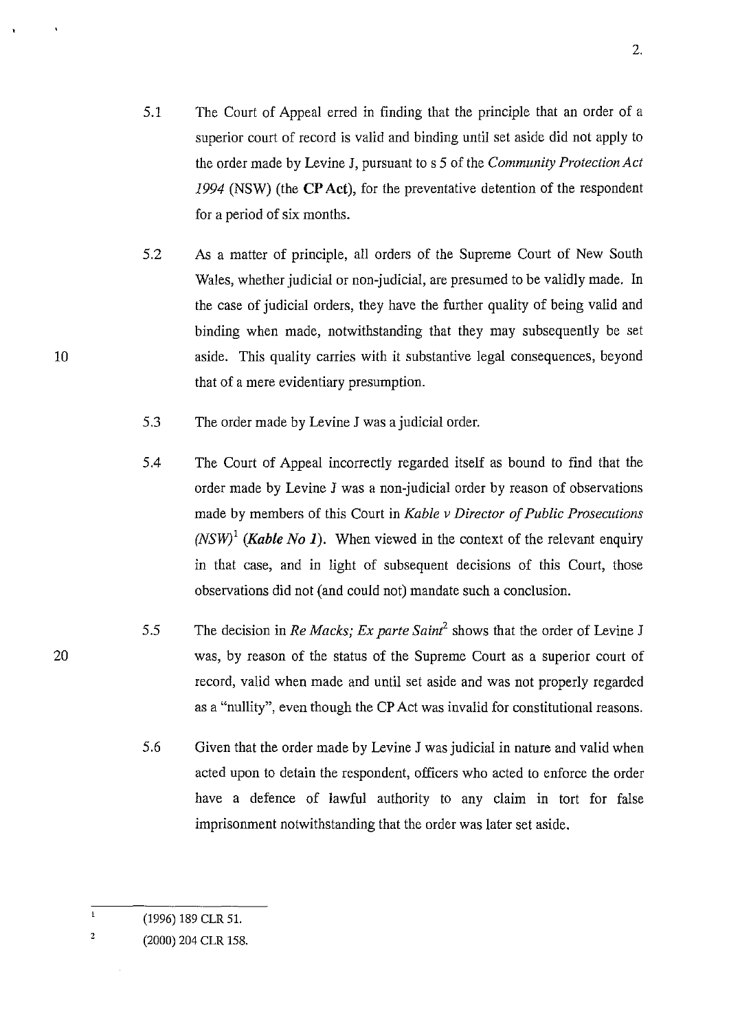- 5.1 The Court of Appeal erred in finding that the principle that an order of a superior court of record is valid and binding until set aside did not apply to the order made by Levine J, pursuant to s 5 of the *Community Protection Act 1994* (NSW) (the **CP Act),** for the preventative detention of the respondent for a period of six months.
- 5.2 As a matter of principle, all orders of the Supreme Court of New South Wales, whether judicial or non-judicial, are presumed to be validly made. In the case of judicial orders, they have the further quality of being valid and binding when made, notwithstanding that they may subsequently be set aside. This quality carries with it substantive legal consequences, beyond that of a mere evidentiary presumption.
- 5.3 The order made by Levine J was a judicial order.
- 5.4 The Court of Appeal incorrectly regarded itself as bound to find that the order made by Levine J was a non-judicial order by reason of observations made by members of this Court in *Kable v Director of Public Prosecutions (NSW)*<sup>1</sup> *(Kable No 1).* When viewed in the context of the relevant enguiry in that case, and in light of subsequent decisions of this Court, those observations did not (and could not) mandate such a conclusion.
- 5.5 The decision in *Re Macks; Ex parte Saint<sup>2</sup>*shows that the order of Levine J was, by reason of the status of the Supreme Court as a superior court of record, valid when made and until set aside and was not properly regarded as a "nullity", even though the CP Act was invalid for constitutional reasons.
	- 5.6 Given that the order made by Levine J was judicial in nature and valid when acted upon to detain the respondent, officers who acted to enforce the order have a defence of lawful authority to any claim in tort for false imprisonment notwithstanding that the order was later set aside.

 $\mathbf{1}$ (1996) 189 CLR 51.

<sup>2</sup>  (2000) 204 CLR 158.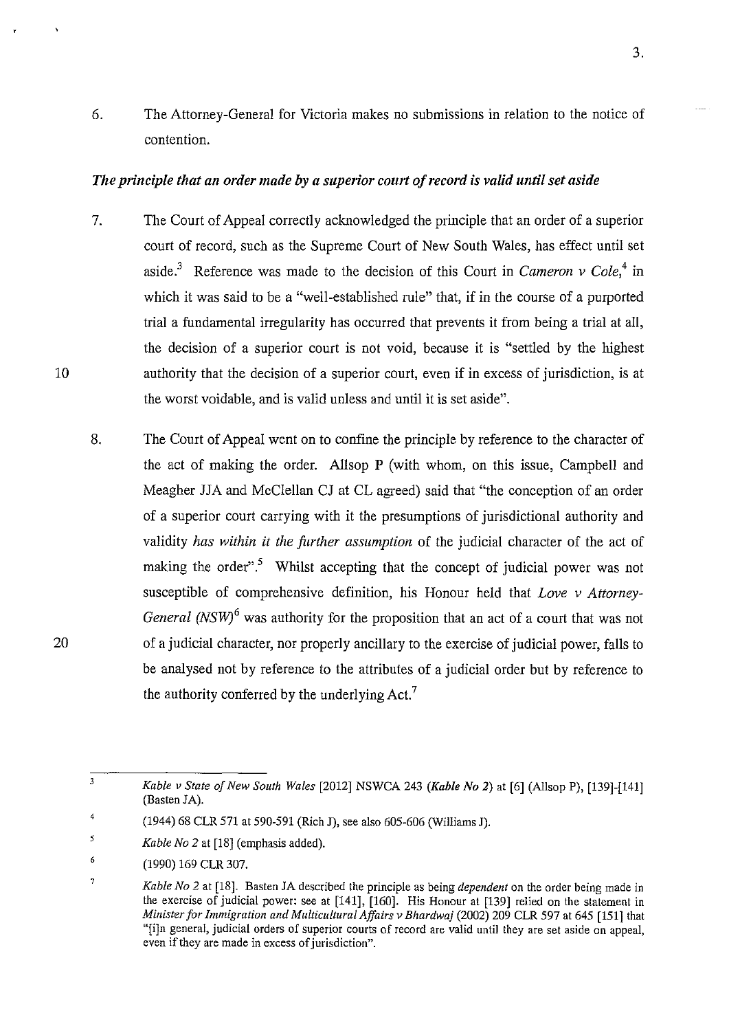6. The Attorney-General for Victoria makes no submissions in relation to the notice of contention.

#### *The principle that an order made by a superior court of record is valid until set aside*

- 7. The Court of Appeal correctly acknowledged the principle that an order of a superior court of record, such as the Supreme Court of New South Wales, has effect until set aside.<sup>3</sup> Reference was made to the decision of this Court in *Cameron v Cole*,<sup>4</sup> in which it was said to be a "well-established rule" that, if in the course of a purported trial a fundamental irregularity has occurred that prevents it from being a trial at all, the decision of a superior court is not void, because it is "settled by the highest authority that the decision of a superior court, even if in excess of jurisdiction, is at the worst voidable, and is valid unless and until it is set aside".
- 8. The Court of Appeal went on to confine the principle by reference to the character of the act of making the order. Allsop P (with whom, on this issue, Campbell and Meagher JJA and McClellan CJ at CL agreed) said that "the conception of an order of a superior court carrying with it the presumptions of jurisdictional authority and validity *has within it the further assumption* of the judicial character of the act of making the order".<sup>5</sup> Whilst accepting that the concept of judicial power was not susceptible of comprehensive definition, his Honour held that *Love v Attorney-General (NSW)*<sup>6</sup> was authority for the proposition that an act of a court that was not of a judicial character, nor properly ancillary to the exercise of judicial power, falls to be analysed not by reference to the attributes of a judicial order but by reference to the authority conferred by the underlying  $Act.^{7}$

7

10

<sup>3</sup>  *Kable v State of New South Wales* [2012] NSWCA 243 *(Kable No* 2) at [6] (AllsopP), [139]-[141] (Basten JA).

<sup>4</sup>  (1944) 68 CLR 571 at 590-591 (Rich J), see also 605-606 (Williams J).

*<sup>5</sup>  Kable No 2* at [18] (emphasis added).

<sup>6</sup>  (1990) 169 CLR 307.

*Kable No 2* at [18]. Basten JA described the principle as being *dependent* on the order being made in the exercise of judicial power: see at [141], [160]. His Honour at [139] relied on the statement in *Minister for Immigration and Multicultural Affairs v Bhardwaj* (2002) 209 CLR 597 at 645 [151] that "[i]n general, judicial orders of superior courts of record are valid until they are set aside on appeal, even if they are made in excess of jurisdiction".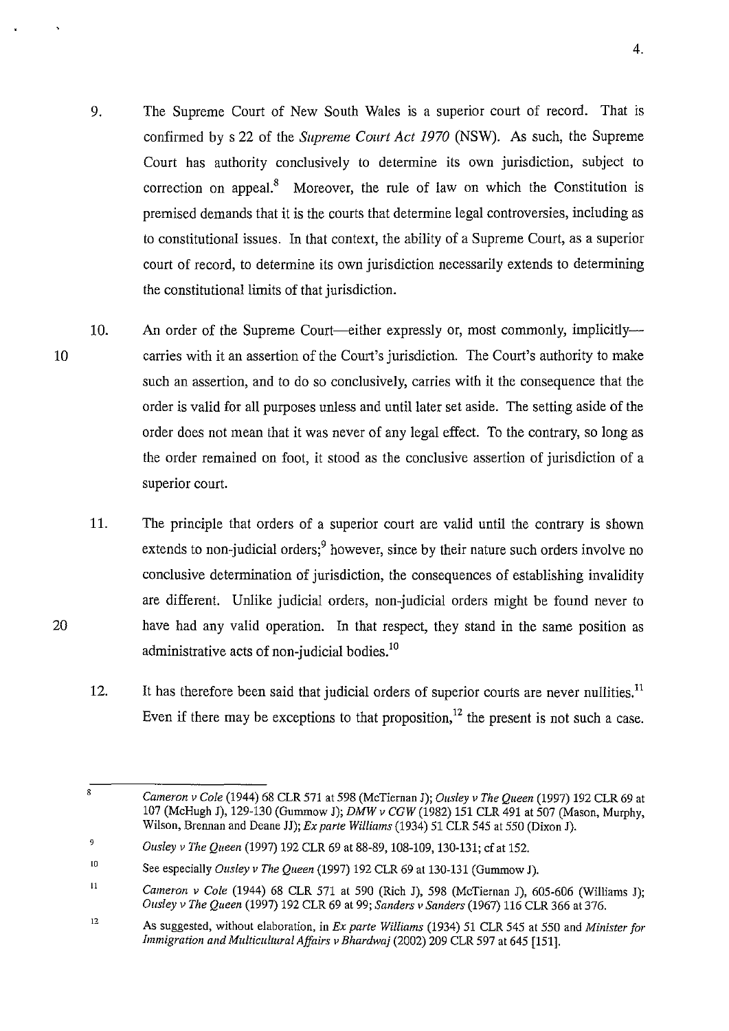- 9. The Supreme Court of New South Wales is a superior court of record. That is confirmed by s 22 of the *Supreme Court Act 1970* (NSW). As such, the Supreme Court has authority conclusively to determine its own jurisdiction, subject to correction on appeal.<sup>8</sup> Moreover, the rule of law on which the Constitution is premised demands that it is the courts that determine legal controversies, including as to constitutional issues. In that context, the ability of a Supreme Court, as a superior court of record, to determine its own jurisdiction necessarily extends to determining the constitutional limits of that jurisdiction.
- 10 10. An order of the Supreme Court—either expressly or, most commonly, implicitly carries with it an assertion of the Court's jurisdiction. The Court's authority to make such an assertion, and to do so conclusively, carries with it the consequence that the order is valid for all purposes unless and until later set aside. The setting aside of the order does not mean that it was never of any legal effect. To the contrary, so long as the order remained on foot, it stood as the conclusive assertion of jurisdiction of a superior court.
	- 11. The principle that orders of a superior court are valid until the contrary is shown extends to non-judicial orders; $9$  however, since by their nature such orders involve no conclusive determination of jurisdiction, the consequences of establishing invalidity are different. Unlike judicial orders, non-judicial orders might be found never to have had any valid operation. In that respect, they stand in the same position as administrative acts of non-judicial bodies.<sup>10</sup>
	- 12. It has therefore been said that judicial orders of superior courts are never nullities.<sup>11</sup> Even if there may be exceptions to that proposition,<sup>12</sup> the present is not such a case.

*Cameron v Cole* (1944) 68 CLR 571 at 598 (McTiernan J); *Ousley v The Queen* (1997) 192 CLR 69 at 107 (McHugh J), 129-130 (Gummow J); *DMW v CGW* (1982) 151 CLR 491 at 507 (Mason, Murphy, Wilson, Brennan and Deane JJ); *Ex parte Williams* (1934) 51 CLR 545 at 550 (Dixon J).

<sup>9</sup>*Ousley v The Queen* (1997) 192 CLR 69 at 88-89,108-109, 130-131; cfat 152.

lO See especially *Ousley v The Queen* (1997) 192 CLR 69 at 130-131 (Gummow J).

<sup>11</sup>  *Cameron v Cole* (1944) 68 CLR 571 at 590 (Rich J), 598 (McTiernan J), 605-606 (Williams J); *Ousley v The Queen* (1997) 192 CLR 69 at 99; *Sanders v Sanders* (1967) 116 CLR 366 at 376.

<sup>12</sup>  As suggested, without elaboration, in *Ex parte Williams* (1934) 51 CLR 545 at 550 and *Minister for Immigration and Multicultural Affairs v Bhardwaj* (2002) 209 CLR 597 at 645 [151].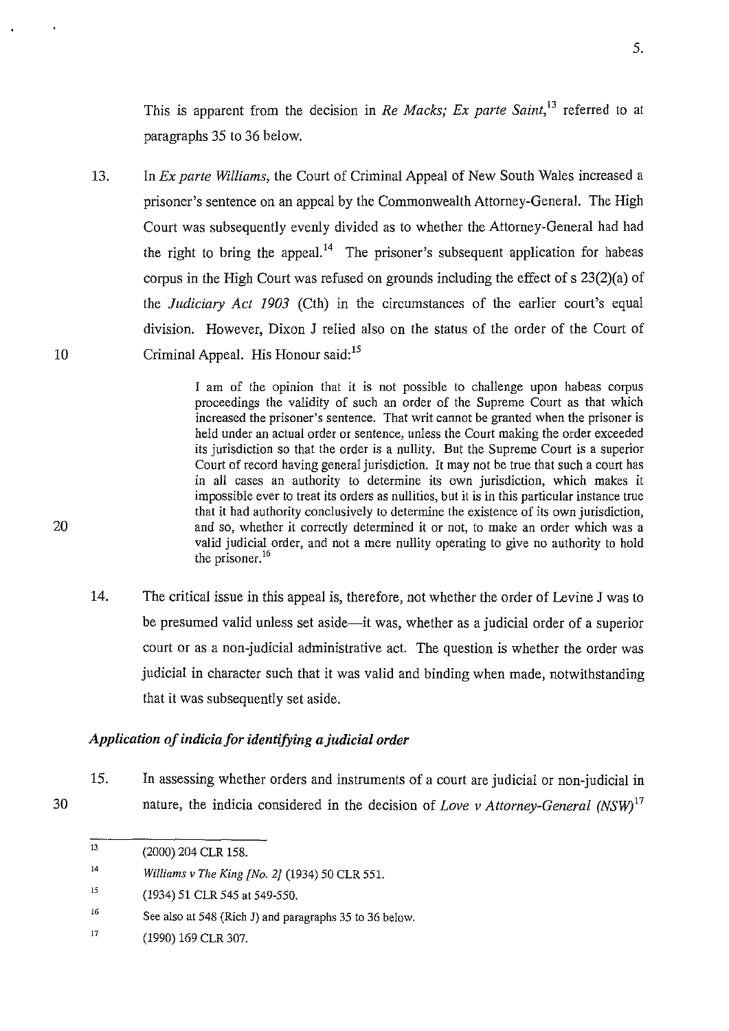This is apparent from the decision in *Re Macks; Ex parte Saint*,<sup>13</sup> referred to at paragraphs 35 to 36 below.

13. In *Ex parte Williams,* the Court of Criminal Appeal of New South Wales increased a prisoner's sentence on an appeal by the Commonwealth Attorney-General. The High Court was subsequently evenly divided as to whether the Attorney-General had had the right to bring the appeal.<sup>14</sup> The prisoner's subsequent application for habeas corpus in the High Court was refused on grounds including the effect of s 23(2)(a) of the *Judiciary Act 1903* (Cth) in the circumstances of the earlier court's equal division. However, Dixon J relied also on the status of the order of the Court of Criminal Appeal. His Honour said:<sup>15</sup>

> I am of the opinion that it is not possible to challenge upon habeas corpus proceedings the validity of such an order of the Supreme Court as that which increased the prisoner's sentence. That writ cannot be granted when the prisoner is held under an actual order or sentence, unless the Court making the order exceeded its jurisdiction so that the order is a nullity. But the Supreme Court is a superior Court of record having general jurisdiction. It may not be true that such a court has in all cases an authority to determine its own jurisdiction, which makes it impossible ever to treat its orders as nullities, but it is in this particular instance true that it had authority conclusively to determine the existence of its own jurisdiction, and so, whether it correctly determined it or not, to make an order which was a valid judicial order, and not a mere nullity operating to give no authority to hold the prisoner.<sup>16</sup>

14. The critical issue in this appeal is, therefore, not whether the order of Levine **J** was to be presumed valid unless set aside-it was, whether as a judicial order of a superior court or as a non-judicial administrative act. The question is whether the order was judicial in character such that it was valid and binding when made, notwithstanding that it was subsequently set aside.

### *Application of indicia for identifying a judicial order*

15. In assessing whether orders and instruments of a court are judicial or non-judicial in nature, the indicia considered in the decision of *Love v Attorney-General* (NSW)<sup>17</sup>

10

20

30

5.

<sup>13</sup>  (2000) 204 CLR 158.

<sup>14</sup>  *Williams v The King [No. 2]* (1934) 50 CLR 551.

l5 (1934) 51 CLR 545 at 549-550.

<sup>16</sup>  See also at 548 (Rich J) and paragraphs 35 to 36 below.

<sup>17</sup>  (1990) 169 CLR 307.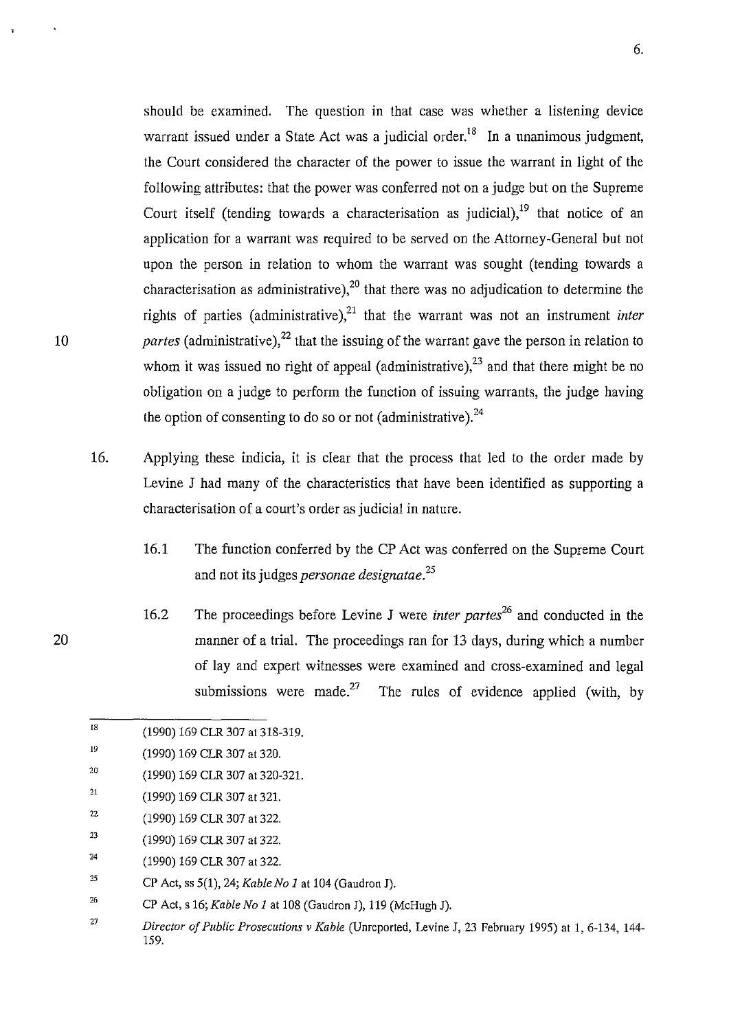should be examined. The question in that case was whether a listening device warrant issued under a State Act was a judicial order.<sup>18</sup> In a unanimous judgment, the Court considered the character of the power to issue the warrant in light of the following attributes: that the power was conferred not on a judge but on the Supreme Court itself (tending towards a characterisation as judicial).<sup>19</sup> that notice of an application for a warrant was required to be served on the Attorney-General but not upon the person in relation to whom the warrant was sought (tending towards a characterisation as administrative),  $2<sup>0</sup>$  that there was no adjudication to determine the rights of parties (administrative), $21$  that the warrant was not an instrument *inter partes* (administrative),<sup>22</sup> that the issuing of the warrant gave the person in relation to whom it was issued no right of appeal (administrative),  $23$  and that there might be no obligation on a judge to perform the function of issuing warrants, the judge having the option of consenting to do so or not (administrative).  $^{24}$ 

- 16. Applying these indicia, it is clear that the process that led to the order made by Levine J had many of the characteristics that have been identified as supporting a characterisation of a court's order as judicial in nature.
	- 16.1 The function conferred by the CP Act was conferred on the Supreme Court and not its judges *personae designatae. <sup>25</sup>*
	- 16.2 The proceedings before Levine J were *inter partes*<sup>26</sup> and conducted in the manner of a trial. The proceedings ran for 13 days, during which a number of lay and expert witnesses were examined and cross-examined and legal submissions were made.<sup>27</sup> The rules of evidence applied (with, by

20

l8 (1990) 169 CLR 307 at 318-319.

<sup>19</sup>  (1990) 169 CLR 307 at 320.

<sup>20</sup>  (1990) 169 CLR 307 at 320-321.

<sup>21</sup>  (1990) 169 CLR 307 at 321.

<sup>22</sup>  (1990) 169 CLR 307 at 322.

<sup>23</sup>  (1990) 169 CLR 307 at 322.

<sup>24</sup>  (1990) 169 CLR 307 at 322.

<sup>25</sup>  CP Act, ss 5(1), 24; *Kable No 1* at 104 (Gaudron J).

<sup>26</sup>  CP Act, s 16; *Kable No 1* at 108 (Gaudron J), 119 (McHugh J).

<sup>27</sup>  *Director of Public Prosecutions v Kable* (Unreported, Levine J, 23 February 1995) at 1, 6-134, 144- 159.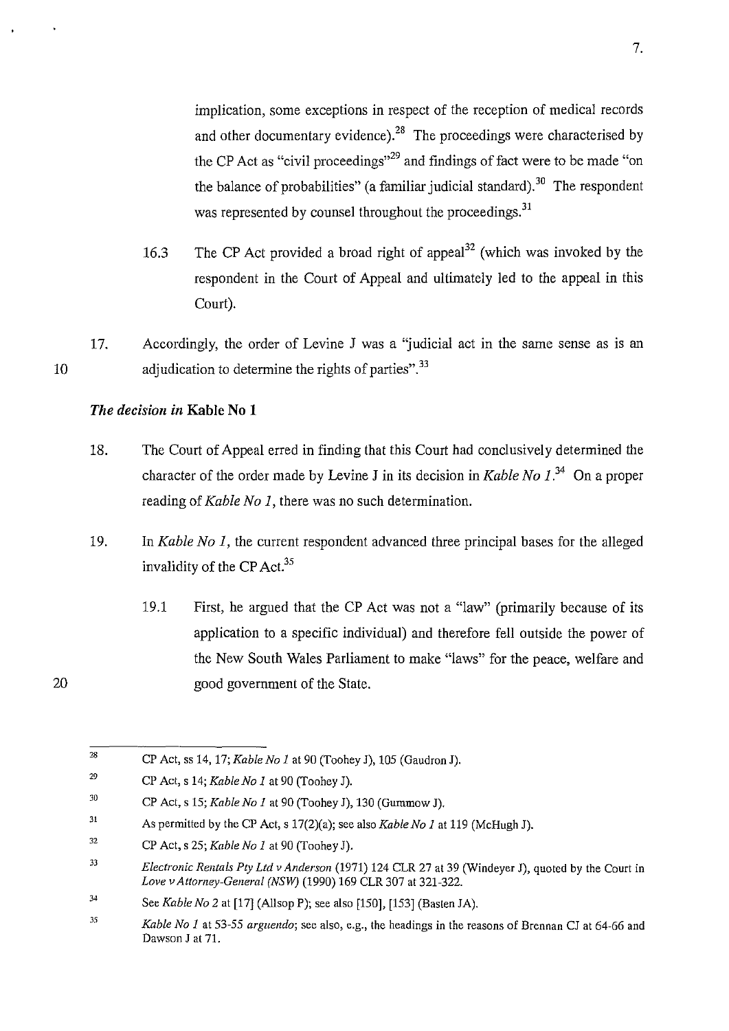implication, some exceptions in respect of the reception of medical records and other documentary evidence).<sup>28</sup> The proceedings were characterised by the CP Act as "civil proceedings"<sup>29</sup> and findings of fact were to be made "on the balance of probabilities" (a familiar judicial standard).<sup>30</sup> The respondent was represented by counsel throughout the proceedings.<sup>31</sup>

- 16.3 The CP Act provided a broad right of appeal<sup>32</sup> (which was invoked by the respondent in the Court of Appeal and ultimately led to the appeal in this Court).
- 10 17. Accordingly, the order of Levine J was a 'judicial act in the same sense as is an adjudication to determine the rights of parties".<sup>33</sup>

## *The decision in* **Kable No 1**

- 18. The Court of Appeal erred in finding that this Court had conclusively determined the character of the order made by Levine J in its decision in *Kable No 1* ?4 On a proper reading of *Kable No 1,* there was no such determination.
- 19. In *Kable No 1,* the current respondent advanced three principal bases for the alleged invalidity of the CP Act.<sup>35</sup>
	- 19.1 First, he argued that the CP Act was not a "law" (primarily because of its application to a specific individual) and therefore fell outside the power of the New South Wales Parliament to make "laws" for the peace, welfare and good government of the State.

<sup>28</sup>  CP Act, ss 14, 17; *Kable No 1* at 90 (Toohey J), 105 (Gaudron J).

<sup>29</sup>  CP Act, s 14; *Kable No 1* at 90 (Toohey J).

<sup>30</sup>  CP Act, s 15; *Kable No 1* at 90 (Toohey J), 130 (Gummow J).

<sup>31</sup>  As permitted by the CP Act, s 17(2)(a); see also *Kable No 1* at 119 (McHugh J).

<sup>32</sup>  CP Act, s 25; *Kable No 1* at 90 (Toohey J).

<sup>33</sup>  *Electronic Rentals Pty Ltd v Anderson* (1971) 124 CLR 27 at 39 (Windeyer J), quoted by the Court in *Love vAttomey-General (NSW)* (1990) 169 CLR 307 at 321-322.

<sup>34</sup>  See *Kable No* 2 at [17] (Allsop P); see also [150], [153] (Basten JA).

<sup>35</sup>  *Kable No I* at 53-55 *arguendo;* see also, e.g., the headings in the reasons of Brennan CJ at 64-66 and Dawson J at 71.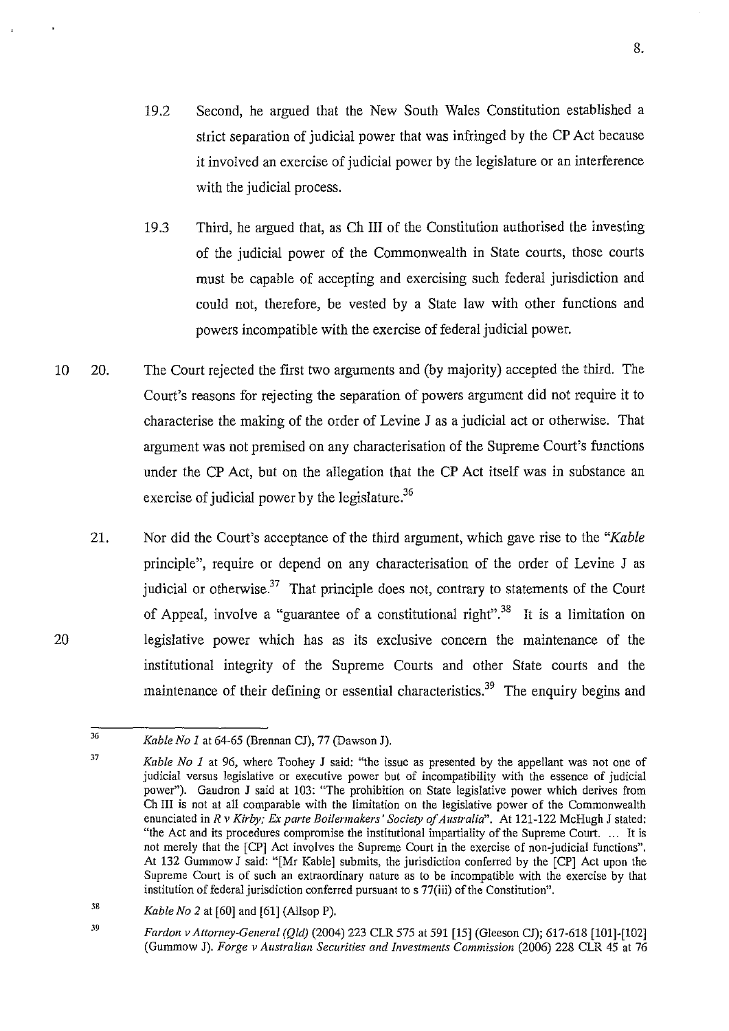8.

- 19.2 Second, he argued that the New South Wales Constitution established a strict separation of judicial power that was infringed by the CP Act because it involved an exercise of judicial power by the legislature or an interference with the judicial process.
- 19.3 Third, he argued that, as Ch III of the Constitution authorised the investing of the judicial power of the Commonwealth in State courts, those courts must be capable of accepting and exercising such federal jurisdiction and could not, therefore, be vested by a State law with other functions and powers incompatible with the exercise of federal judicial power.
- 10 20. The Court rejected the first two arguments and (by majority) accepted the third. The Court's reasons for rejecting the separation of powers argument did not require it to characterise the making of the order of Levine J as a judicial act or otherwise. That argument was not premised on any characterisation of the Supreme Court's functions under the CP Act, but on the allegation that the CP Act itself was in substance an exercise of judicial power by the legislature.<sup>36</sup>
	- 21. Nor did the Court's acceptance of the third argument, which gave rise to the *"Kable*  principle", require or depend on any characterisation of the order of Levine J as judicial or otherwise. $37$  That principle does not, contrary to statements of the Court of Appeal, involve a "guarantee of a constitutional right" *?8* It is a limitation on legislative power which has as its exclusive concern the maintenance of the institutional integrity of the Supreme Courts and other State courts and the maintenance of their defining or essential characteristics.<sup>39</sup> The enquiry begins and

38 *Kable No 2* at [60] and [61] (Allsop P).

<sup>36</sup>  *Kable No I* at 64-65 (Brennan CJ), 77 (Dawson J).

<sup>37</sup>  *Kable No 1* at 96, where Toohey J said: "the issue as presented by the appellant was not one of judicial versus legislative or executive power but of incompatibility with the essence of judicial power"). Gaudron J said at 103: "The prohibition on State legislative power which derives from Ch III is not at all comparable with the limitation on the legislative power of the Commonwealth enunciated in *R v Kirby; Ex parte Boilermakers' Society of Australia".* At 121-122 McHugh J stated: "the Act and its procedures compromise the institutional impartiality of the Supreme Court. .. . It is not merely that the [CP] Act involves the Supreme Court in the exercise of non-judicial functions". At 132 Gummow J said: "[Mr Kable] submits, the jurisdiction conferred by the [CP] Act upon the Supreme Court is of such an extraordinary nature as to be incompatible with the exercise by that institution of federal jurisdiction conferred pursuant to s 77(iii) of the Constitution".

<sup>39</sup>  *Pardon v Attorney-General (Qld)* (2004) 223 CLR 575 at 591 [15] (Gleeson CJ); 617-618 [101]-[102] (Gummow J). *Forge v Australian Securities and Investments Commission* (2006) 228 CLR 45 at 76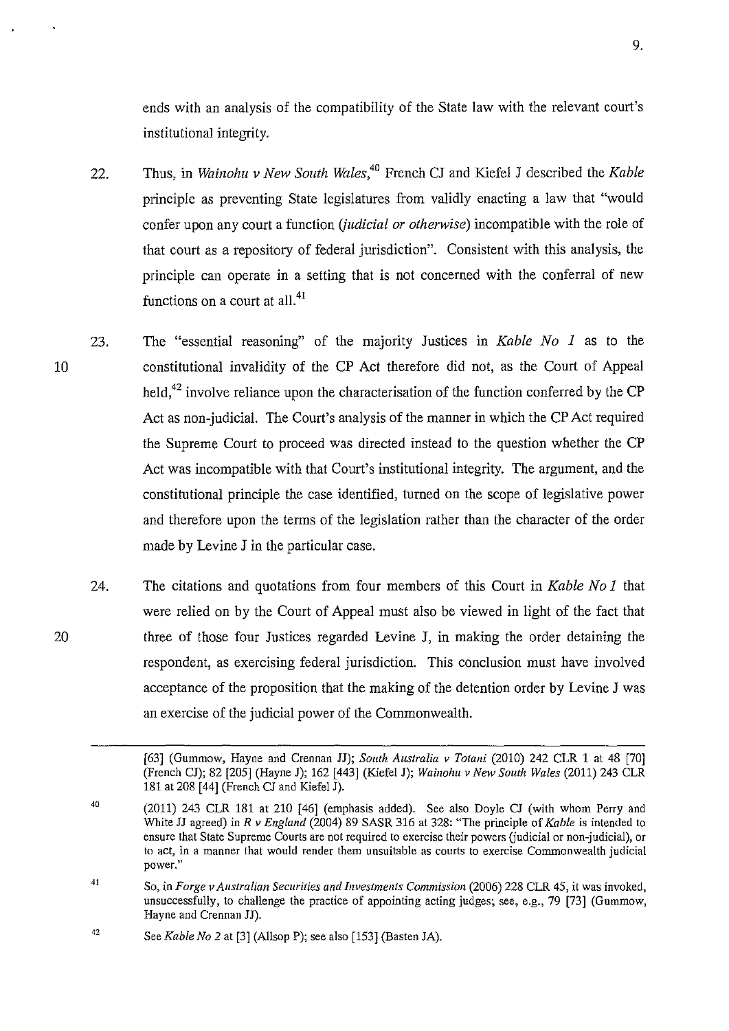ends with an analysis of the compatibility of the State law with the relevant court's institutional integrity.

- 22. Thus, in *Wainohu v New South Wales*,<sup>40</sup> French CJ and Kiefel J described the *Kable* principle as preventing State legislatures from validly enacting a law that "would confer upon any court a function *(judicial or otherwise)* incompatible with the role of that court as a repository of federal jurisdiction". Consistent with this analysis, the principle can operate in a setting that is not concerned with the conferral of new functions on a court at all.<sup>41</sup>
- 23. The "essential reasoning" of the majority Justices in *Kable No 1* as to the constitutional invalidity of the CP Act therefore did not, as the Court of Appeal held,<sup>42</sup> involve reliance upon the characterisation of the function conferred by the CP Act as non-judicial. The Court's analysis of the manner in which the CP Act required the Supreme Court to proceed was directed instead to the question whether the CP Act was incompatible with that Court's institutional integrity. The argument, and the constitutional principle the case identified, turned on the scope of legislative power and therefore upon the terms of the legislation rather than the character of the order made by Levine J in the particular case.
- 24. The citations and quotations from four members of this Court in *Kable No 1* that were relied on by the Court of Appeal must also be viewed in light of the fact that three of those four Justices regarded Levine J, in making the order detaining the respondent, as exercising federal jurisdiction. This conclusion must have involved acceptance of the proposition that the making of the detention order by Levine J was an exercise of the judicial power of the Commonwealth.

10

<sup>[63] (</sup>Gummow, Hayne and Crennan JJ); *South Australia v Totani* (2010) 242 CLR 1 at 48 [70] (French CJ); 82 [205] (Hayne J); 162 [443] (Kiefel J); *Wainohu v New South Wales* (2011) 243 CLR 181 at 208  $[44]$  (French CJ and Kiefel J).

<sup>40</sup>  (2011) 243 CLR 181 at 210 [46] (emphasis added). See also Doyle CJ (with whom Perry and White JJ agreed) in *R v England* (2004) 89 SASR 316 at 328: "The principle of *Kable* is intended to ensure that State Supreme Courts are not required to exercise their powers (judicial or non-judicial), or **to act, in a manner that would render them unsuitable as courts to exercise Commonwealth judicial power.''** 

<sup>41</sup>  So, in *Forge v Australian Securities and Investments Commission* (2006) 228 CLR 45, it was invoked, unsuccessfully, to challenge the practice of appointing acting judges; see, e.g., 79 [73] (Gummow, Hayne and Crennan JJ).

<sup>42</sup>  See *Kable No 2* at [3] (Allsop P); see also [153] (Basten JA).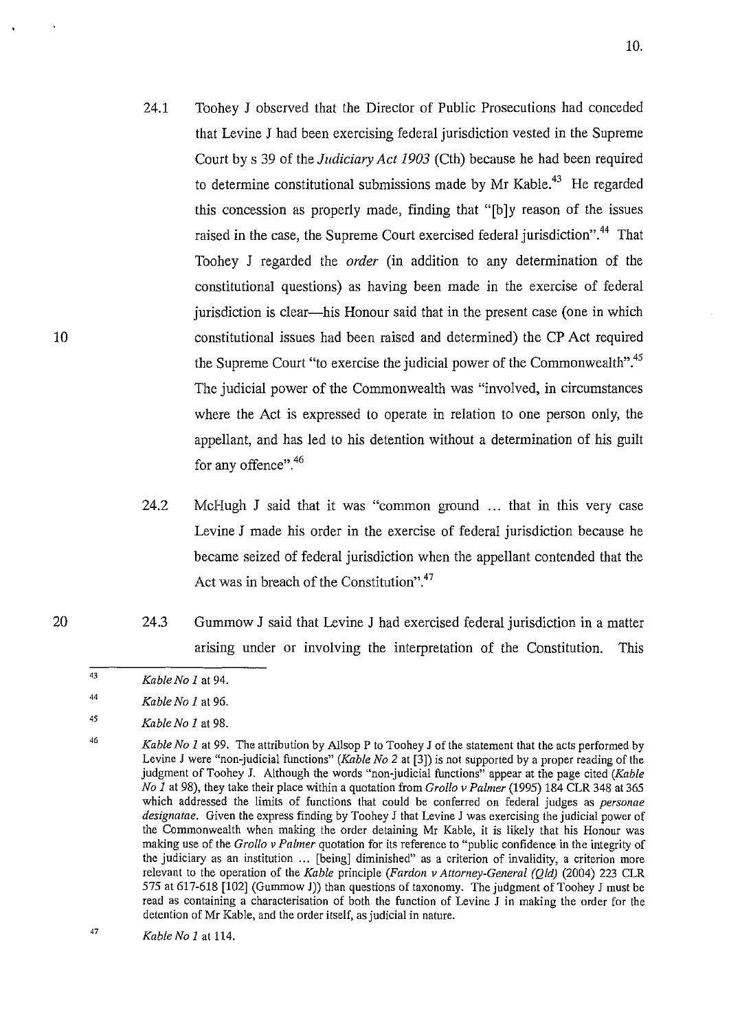- 24.1 Toohey J observed that the Director of Public Prosecutions had conceded that Levine J had been exercising federal jurisdiction vested in the Supreme Court by s 39 of the *Judiciary Act 1903* (Cth) because he had been required to determine constitutional submissions made by Mr Kable.<sup>43</sup> He regarded this concession as properly made, finding that "[b]y reason of the issues raised in the case, the Supreme Court exercised federal jurisdiction".<sup>44</sup> That Toohey J regarded the *order* (in addition to any determination of the constitutional questions) as having been made in the exercise of federal jurisdiction is clear—his Honour said that in the present case (one in which constitutional issues had been raised and determined) the CP Act required the Supreme Court "to exercise the judicial power of the Commonwealth".<sup>45</sup> The judicial power of the Commonwealth was "involved, in circumstances where the Act is expressed to operate in relation to one person only, the appellant, and has led to his detention without a determination of his guilt for any offence".<sup>46</sup>
- 24.2 McHugh J said that it was "common ground ... that in this very case Levine J made his order in the exercise of federal jurisdiction because he became seized of federal jurisdiction when the appellant contended that the Act was in breach of the Constitution".<sup>47</sup>
- 24.3 Gummow J said that Levine J had exercised federal jurisdiction in a matter arising under or involving the interpretation of the Constitution. This

<sup>43</sup>  *Kable No I* at 94.

<sup>44</sup>  *Kable No I* at 96.

<sup>45</sup>  *Kable No I* at 98.

<sup>46</sup>  *Kable No 1* at 99. The attribution by Allsop P to Toohey J of the statement that the acts performed by Levine J were "non-judicial functions" *(Kable No* 2 at [3]) is not supported by a proper reading of the judgment of Toohey J. Although the words "non-judicial functions" appear at the page cited *(Kable No 1* at 98), they take their place within a quotation from *Grollo v Palmer* (1995) 184 CLR 348 at 365 which addressed the limits of functions that could be conferred on federal judges as *personae designatae.* Given the express finding by Toohey J that Levine J was exercising the judicial power of the Commonwealth when making the order detaining Mr Kable, it is likely that his Honour was making use of the *Grollo v Palmer* quotation for its reference to "public confidence in the integrity of the judiciary as an institution ... [being] diminished" as a criterion of invalidity, a criterion more relevant to the operation of the *Kable* principle *(Fardon v Attorney-General (Qld)* (2004) 223 CLR 575 at 617-618 [102] (Gummow J)) than questions of taxonomy. The judgment of Toohey J must be read as containing a characterisation of both the function of Levine J in making the order for the detention of Mr Kable, and the order itself, as judicial in nature.

<sup>47</sup>  *Kable No I* at 114.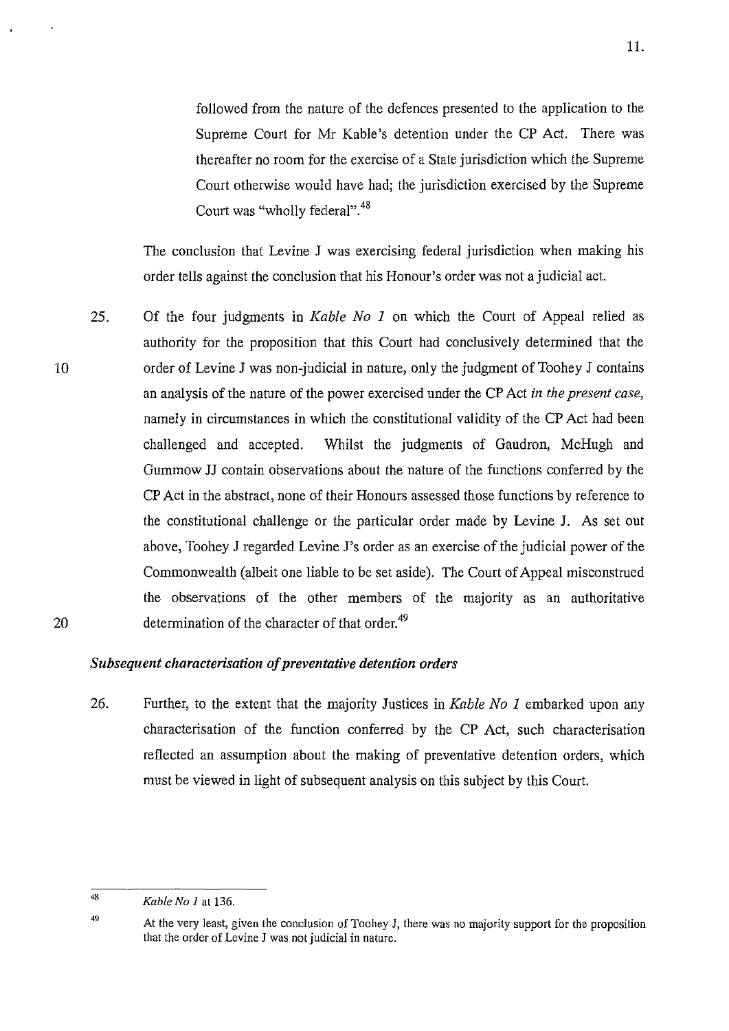followed from the nature of the defences presented to the application to the Supreme Court for Mr Kable's detention under the CP Act. There was thereafter no room for the exercise of a State jurisdiction which the Supreme Court otherwise would have had; the jurisdiction exercised by the Supreme Court was "wholly federal".<sup>48</sup>

The conclusion that Levine J was exercising federal jurisdiction when making his order tells against the conclusion that his Honour's order was not a judicial act.

25. Of the four judgments in *Kable No 1* on which the Court of Appeal relied as authority for the proposition that this Court had conclusively determined that the order of Levine J was non-judicial in nature, only the judgment of Toohey J contains an analysis of the nature of the power exercised under the CP Act *in the present case,*  namely in circumstances in which the constitutional validity of the CP Act had been challenged and accepted. Whilst the judgments of Gaudron, McHugh and Gummow JJ contain observations about the nature of the functions conferred by the CP Act in the abstract, none of their Honours assessed those functions by reference to the constitutional challenge or the particular order made by Levine J. As set out above, Toohey J regarded Levine J's order as an exercise of the judicial power of the Commonwealth (albeit one liable to be set aside). The Court of Appeal misconstrued the observations of the other members of the majority as an authoritative determination of the character of that order.<sup>49</sup>

### *Subsequent characterisation of preventative detention orders*

26. Further, to the extent that the majority Justices in *Kable No 1* embarked upon any characterisation of the function conferred by the CP Act, such characterisation reflected an assumption about the making of preventative detention orders, which must be viewed in light of subsequent analysis on this subject by this Court.

49

20

<sup>48</sup>  *Kable No 1* at 136.

At the very least, given the conclusion of Toohey J, there was no majority support for the proposition that the order of Levine J was not judicial in nature.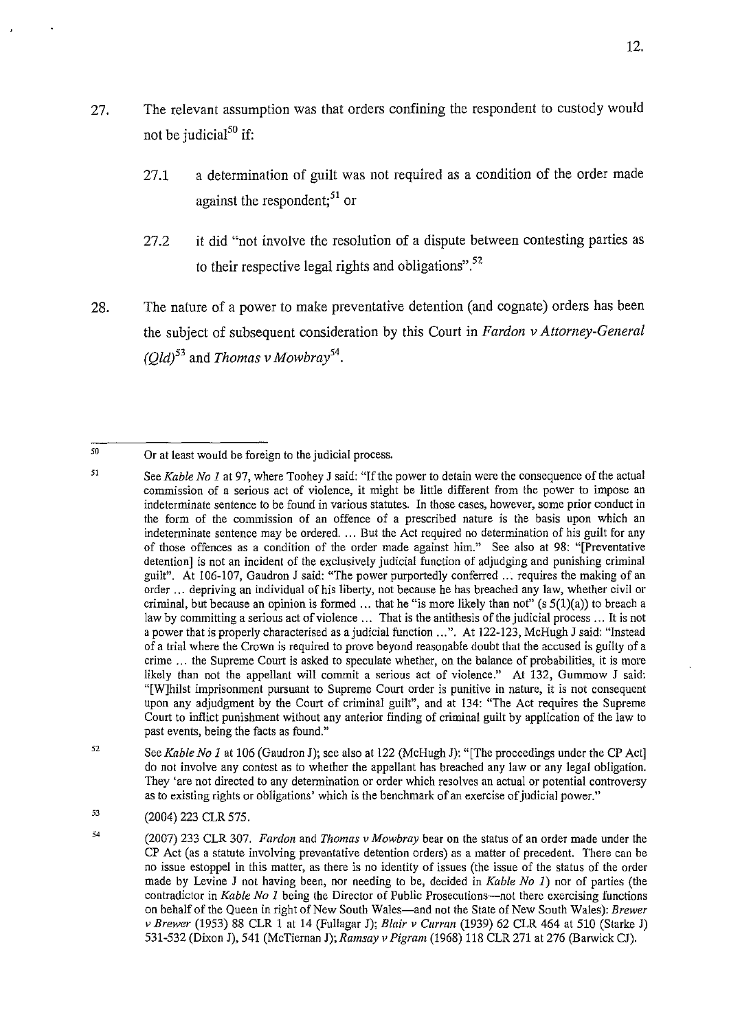- 27. The relevant assumption was that orders confining the respondent to custody would not be judicial $^{50}$  if:
	- 27.1 a determination of guilt was not required as a condition of the order made against the respondent;<sup>51</sup> or
	- 27.2 it did "not involve the resolution of a dispute between contesting parties as to their respective legal rights and obligations".  $52$
- 28. The nature of a power to make preventative detention (and cognate) orders has been the subject of subsequent consideration by this Court in *F ardon v Attorney-General*   $(Qld)^{53}$  and *Thomas v Mowbray*<sup>54</sup>.

- 52 See *Kable No 1* at 106 (Gaudron J); see also at 122 (McHugh J): "[The proceedings under the CP Act] do not involve any contest as to whether the appellant has breached any law or any legal obligation. They 'are not directed to any determination or order which resolves an actual or potential controversy as to existing rights or obligations' which is the benchmark of an exercise of judicial power."
- 53 (2004) 223 CLR 575.

<sup>50</sup>  Or at least would be foreign to the judicial process.

<sup>51</sup>  See *Kable No 1* at 97, where Toohey J said: "If the power to detain were the consequence of the actual commission of a serious act of violence, it might be little different from the power to impose an **indeterminate sentence to be found in various statutes. In those cases, however, some prior conduct in**  the form of the commission of an offence of a prescribed nature is the basis upon which an indeterminate sentence may be ordered. ... But the Act required no determination of his guilt for any of those offences as a condition of the order made against him." See also at 98: "[Preventative detention] is not an incident of the exclusively judicial function of adjudging and punishing criminal guilt". At 106-107, Gaudron J said: "The power purportedly conferred ... requires the making of an order ... depriving an individual of his liberty, not because he has breached any law, whether civil or criminal, but because an opinion is formed ... that he "is more likely than not" (s  $5(1)(a)$ ) to breach a law by committing a serious act of violence ... That is the antithesis of the judicial process ... It is not a power that is properly characterised as a judicial function ...". At 122-123, McHugh J said: "Instead of a trial where the Crown is required to prove beyond reasonable doubt that the accused is guilty of a crime ... the Supreme Court is asked to speculate whether, on the balance of probabilities, it is more likely than not the appellant will commit a serious act of violence." At 132, Gummow J said: "[W]hilst imprisonment pursuant to Supreme Court order is punitive in nature, it is not consequent upon any adjudgment by the Court of criminal guilt", and at 134: "The Act requires the Supreme Court to inflict punishment without any anterior finding of criminal guilt by application of the law to past events, being the facts as found."

<sup>(2007) 233</sup> CLR 307. *Pardon* and *Thomas v Mowbray* bear on the status of an order made under the CP Act (as a statute involving preventative detention orders) as a matter of precedent. There can be no issue estoppel in this matter, as there is no identity of issues (the issue of the status of the order made by Levine J not having been, nor needing to be, decided in *Kable No 1)* nor of parties (the contradictor in *Kable No 1* being the Director of Public Prosecutions-not there exercising functions on behalf of the Queen in right of New South Wales-and not the State of New South Wales): *Brewer v Brewer* (1953) 88 CLR 1 at 14 (Fullagar J); *Blair v Curran* (1939) 62 CLR 464 at 510 (Starke J) 531-532 (Dixon J), 541 (McTiernan J); *Ramsay v Pigram* (1968) 118 CLR 271 at 276 (Barwick CJ).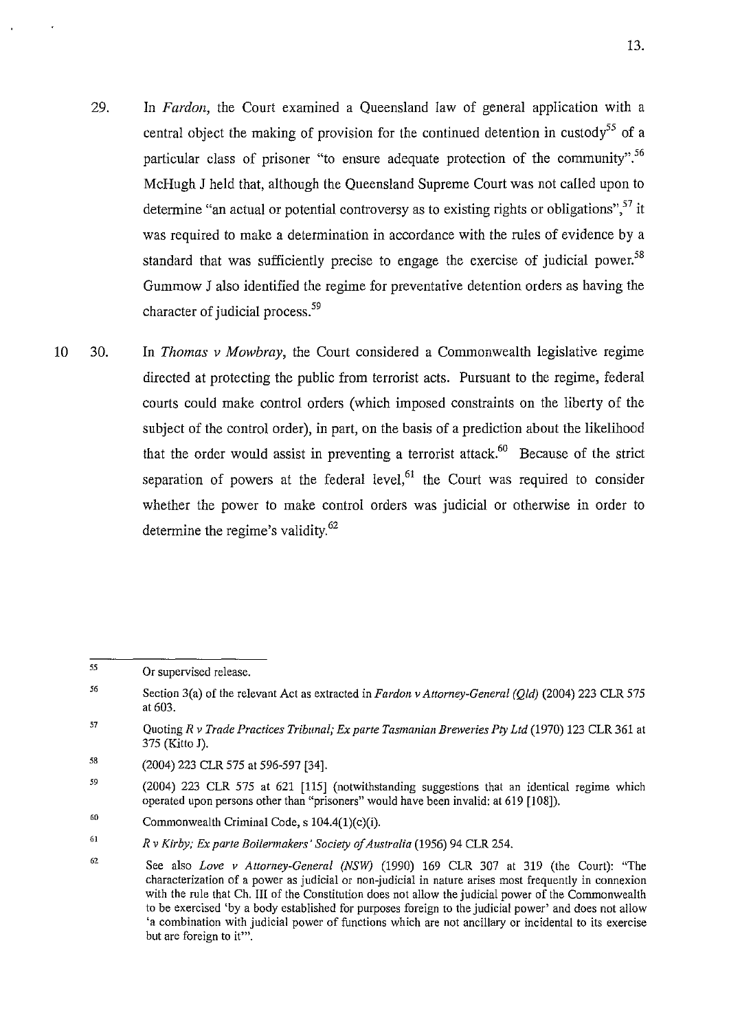- 29. In *Pardon,* the Court examined a Queensland law of general application with a central object the making of provision for the continued detention in custody<sup>55</sup> of a particular class of prisoner "to ensure adequate protection of the community".<sup>56</sup> McHugh J held that, although the Queensland Supreme Court was not called upon to determine "an actual or potential controversy as to existing rights or obligations".<sup>57</sup> it was required to make a determination in accordance with the rules of evidence by a standard that was sufficiently precise to engage the exercise of judicial power.<sup>58</sup> Gummow J also identified the regime for preventative detention orders as having the character of judicial process. *59*
- 10 30. In *Thomas v Mowbray,* the Court considered a Commonwealth legislative regime directed at protecting the public from terrorist acts. Pursuant to the regime, federal courts could make control orders (which imposed constraints on the liberty of the subject of the control order), in part, on the basis of a prediction about the likelihood that the order would assist in preventing a terrorist attack.<sup>60</sup> Because of the strict separation of powers at the federal level, $61$  the Court was required to consider whether the power to make control orders was judicial or otherwise in order to determine the regime's validity.<sup>62</sup>

<sup>55</sup>  **Or supervised release.** 

<sup>56</sup>  Section 3(a) of the relevant Act as extracted in *Fardon v Attorney-General (Qld)* (2004) 223 CLR 575 at 603.

<sup>57</sup>  Quoting *R v Trade Practices Tribunal; Ex parte Tasmanian Breweries Pty Ltd* (1970) 123 CLR 361 at 375 (Kitto J).

<sup>58</sup>  (2004) 223 CLR 575 at 596-597 [34].

<sup>59</sup>  (2004) 223 CLR 575 at 621 [115] (notwithstanding suggestions that an identical regime which operated upon persons other than "prisoners" would have been invalid: at 619 [108]).

<sup>60</sup>  Commonwealth Criminal Code, s 104.4(1)(c)(i).

<sup>61</sup>  *R v Kirby; Ex parte Boilermakers' Society of Australia* (1956) 94 CLR 254.

<sup>62</sup>  See also *Love v Attorney-Genera/ (NSW)* (1990) 169 CLR 307 at 319 (the Court): "The **characterization of a power as judicial or non-judicial in nature arises most frequently in connexion**  with the rule that Ch. III of the Constitution does not allow the judicial power of the Commonwealth to be exercised 'by a body established for purposes foreign to the judicial power' and does not allow 'a combination with judicial power of functions which are not ancillary or incidental to its exercise **but are foreign to it"'.**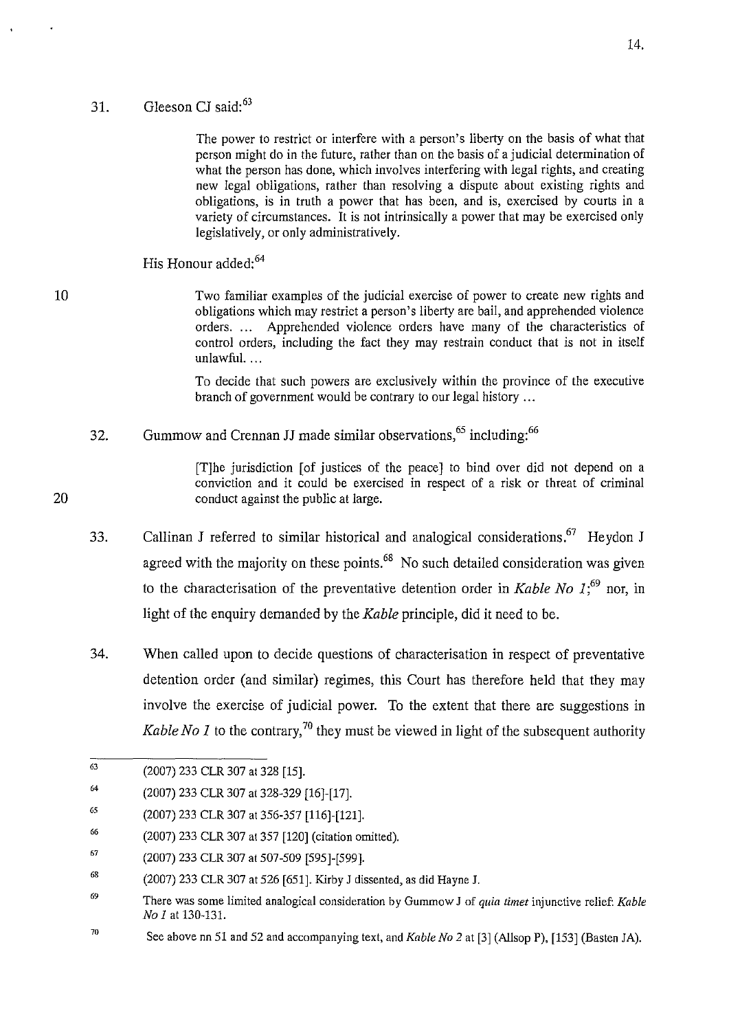## 31. Gleeson CI said:<sup>63</sup>

The power to restrict or interfere with a person's liberty on the basis of what that person might do in the future, rather than on the basis of a judicial determination of what the person has done, which involves interfering with legal rights, and creating new legal obligations, rather than resolving a dispute about existing rights and obligations, is in truth a power that has been, and is, exercised by courts in a variety of circumstances. It is not intrinsically a power that may be exercised only legislatively, or only administratively.

His Honour added:<sup>64</sup>

Two familiar examples of the judicial exercise of power to create new rights and obligations which may restrict a person's liberty are bail, and apprehended violence orders. ... Apprehended violence orders have many of the characteristics of control orders, including the fact they may restrain conduct that is not in itself unlawful. ...

To decide that such powers are exclusively within the province of the executive branch of government would be contrary to our legal history ...

32. Gummow and Crennan JJ made similar observations,<sup>65</sup> including:<sup>66</sup>

> [T]he jurisdiction [of justices of the peace] to bind over did not depend on a conviction and it could be exercised in respect of a risk or threat of criminal conduct against the public at large.

- 33. Callinan J referred to similar historical and analogical considerations.<sup>67</sup> Heydon J agreed with the majority on these points.<sup>68</sup> No such detailed consideration was given to the characterisation of the preventative detention order in *Kable No 1*<sup> $,69$ </sup> nor, in light of the enquiry demanded by the *Kable* principle, did it need to be.
- 34. When called upon to decide questions of characterisation in respect of preventative detention order (and similar) regimes, this Court has therefore held that they may involve the exercise of judicial power. To the extent that there are suggestions in *Kable No 1* to the contrary,<sup>70</sup> they must be viewed in light of the subsequent authority

10

<sup>63</sup>  (2007) 233 CLR 307 at 328 [15].

<sup>64</sup>  (2007) 233 CLR 307 at 328-329 [16]-[17].

*<sup>65</sup>*  (2007) 233 CLR 307 at 356-357 [116]-[121].

<sup>66</sup>  (2007) 233 CLR 307 at 357 [120] (citation omitted).

<sup>67</sup>  (2007) 233 CLR 307 at 507-509 [595]-[599].

<sup>68</sup>  (2007) 233 CLR 307 at 526 [651]. Kirby J dissented, as did Hayne J.

<sup>69</sup>  There was some limited analogical consideration by Gummow J of *quia timet* injunctive relief: *Kable No I* at 130-131.

<sup>70</sup>  See above nn 51 and 52 and accompanying text, and *Kable No* 2 at [3] (Allsop P), [153] (Basten JA).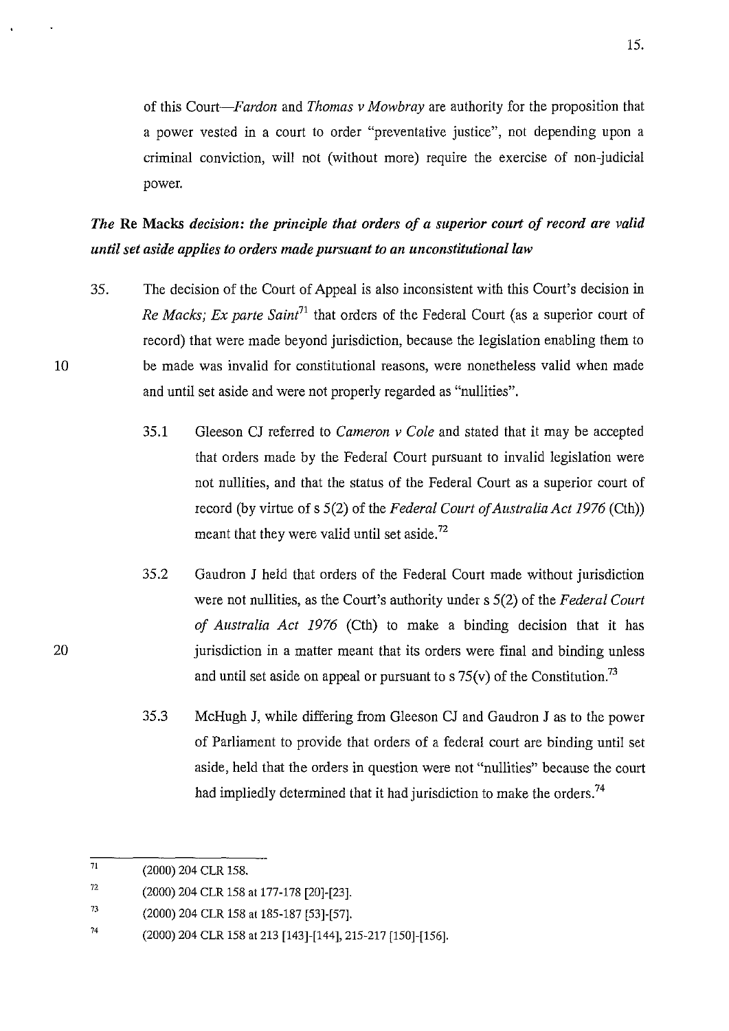of this *Court-Fardon* and *Thomas v Mowbray* are authority for the proposition that a power vested in a court to order "preventative justice", not depending upon a criminal conviction, will not (without more) require the exercise of non-judicial power.

*The* Re Macks *decision: the principle that orders of a superior court of record are valid until set aside applies to orders made pursuant to an unconstitutional law* 

- 35. The decision of the Court of Appeal is also inconsistent with this Court's decision in *Re Macks; Ex parte Saint*<sup>71</sup> that orders of the Federal Court (as a superior court of record) that were made beyond jurisdiction, because the legislation enabling them to be made was invalid for constitutional reasons, were nonetheless valid when made and until set aside and were not properly regarded as "nullities".
	- 35.1 Gleeson CJ referred to *Cameron v Cole* and stated that it may be accepted that orders made by the Federal Court pursuant to invalid legislation were not nullities, and that the status of the Federal Court as a superior court of record (by virtue of s 5(2) of the *Federal Court of Australia Act 1976* (Cth)) meant that they were valid until set aside.<sup>72</sup>
	- 35.2 Gaudron J held that orders of the Federal Court made without jurisdiction were not nullities, as the Court's authority under s 5(2) of the *Federal Court of Australia Act 1976* (Cth) to make a binding decision that it has jurisdiction in a matter meant that its orders were final and binding unless and until set aside on appeal or pursuant to s  $75(v)$  of the Constitution.<sup>73</sup>
	- 35.3 McHugh J, while differing from Gleeson CJ and Gaudron J as to the power of Parliament to provide that orders of a federal court are binding until set aside, held that the orders in question were not "nullities" because the court had impliedly determined that it had jurisdiction to make the orders.<sup>74</sup>

20

 $\overline{71}$ (2000) 204 CLR 158.

<sup>72</sup>  (2000) 204 CLR 158 at 177-178 [20]-[23].

<sup>73</sup>  (2000) 204 CLR 158 at 185-187 [53]-[57].

<sup>74</sup>  (2000) 204 CLR 158 at 213 [143]-[144], 215-217 [150]-[156].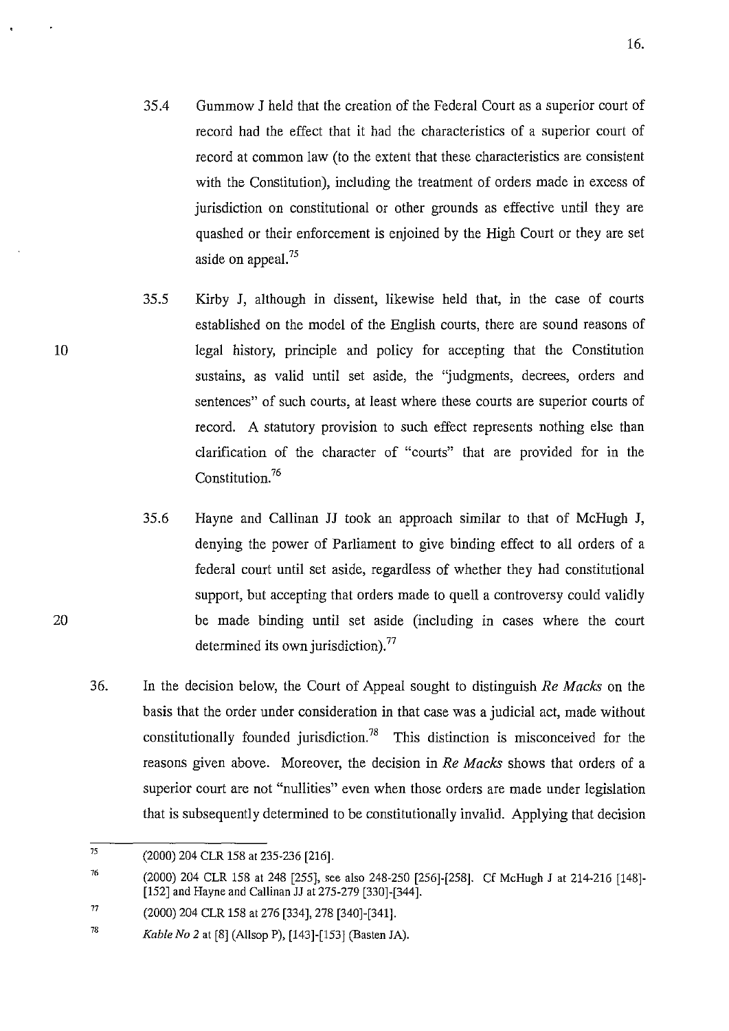- 35.4 Gummow J held that the creation of the Federal Court as a superior court of record had the effect that it had the characteristics of a superior court of record at common law (to the extent that these characteristics are consistent with the Constitution), including the treatment of orders made in excess of jurisdiction on constitutional or other grounds as effective until they are quashed or their enforcement is enjoined by the High Court or they are set aside on appeal.<sup>75</sup>
- 35.5 Kirby J, although in dissent, likewise held that, in the case of courts established on the model of the English courts, there are sound reasons of legal history, principle and policy for accepting that the Constitution sustains, as valid until set aside, the "judgments, decrees, orders and sentences" of such courts, at least where these courts are superior courts of record. A statutory provision to such effect represents nothing else than clarification of the character of "courts" that are provided for in the Constitution.<sup>76</sup>
- 35.6 Hayne and Callinan JJ took an approach similar to that of McHugh J, denying the power of Parliament to give binding effect to all orders of a federal court until set aside, regardless of whether they had constitutional support, but accepting that orders made to quell a controversy could validly be made binding until set aside (including in cases where the court determined its own jurisdiction).<sup>77</sup>
- 36. In the decision below, the Court of Appeal sought to distinguish *Re Macks* on the basis that the order under consideration in that case was a judicial act, made without constitutionally founded jurisdiction.<sup>78</sup> This distinction is misconceived for the reasons given above. Moreover, the decision in *Re Macks* shows that orders of a superior court are not "nullities" even when those orders are made under legislation that is subsequently determined to be constitutionally invalid. Applying that decision

 $\overline{75}$ (2000) 204 CLR 158 at 235-236 [216].

<sup>76</sup>  (2000) 204 CLR 158 at 248 [255], see also 248-250 [256]-[258]. Cf McHugh J at 214-216 [148]- [152] and Hayne and Callinan JJ at 275-279 [330]-[344].

<sup>77</sup>  (2000) 204 CLR 158 at 276 [334], 278 [340]-[341].

<sup>78</sup>  *Kable No 2* at [8] (Allsop P), [143]-[153] (Basten JA).